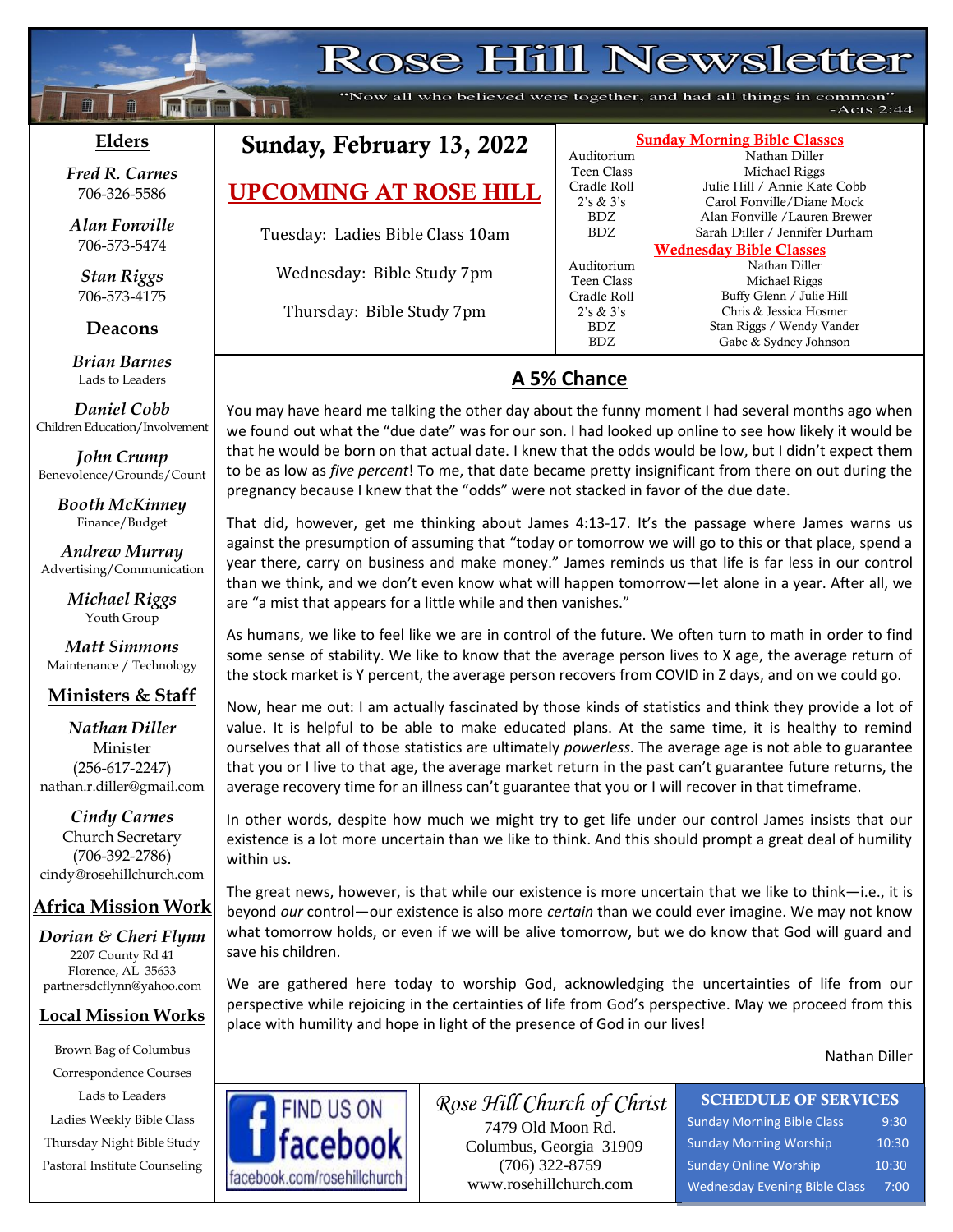# **Rose Hill Newsletter**

"Now all who believed were together, and had all things in common"  $-Acts 2:44$ 

#### **Elders**

 $\mathbf{f}$ 

**;30Ma\*``**

**Failed No. 1 111** 

*Fred R. Carnes* 706-326-5586

*Alan Fonville* 706-573-5474

*Stan Riggs* 706-573-4175

**Deacons**

**;**  *Brian Barnes* Lads to Leaders

*Daniel Cobb* Children Education/Involvement

*John Crump* Benevolence/Grounds/Count

> *Booth McKinney* Finance/Budget

*Andrew Murray* Advertising/Communication

> *Michael Riggs* Youth Group

*Matt Simmons* Maintenance / Technology

#### **Ministers & Staff**

*Nathan Diller* Minister (256-617-2247) nathan.r.diller@gmail.com

*Cindy Carnes* Church Secretary (706-392-2786) cindy@rosehillchurch.com

#### **Africa Mission Work**

*Dorian & Cheri Flynn* 2207 County Rd 41 Florence, AL 35633 [partnersdcflynn@yahoo.com](mailto:partnersdcflynn@yahoo.com)

#### **Local Mission Works**

Brown Bag of Columbus Correspondence Courses Lads to Leaders Ladies Weekly Bible Class Thursday Night Bible Study Pastoral Institute Counseling

## Sunday, February 13, 2022

UPCOMING AT ROSE HILL

Tuesday: Ladies Bible Class 10am

Wednesday: Bible Study 7pm

Thursday: Bible Study 7pm

### Sunday Morning Bible Classes Auditorium Nathan Diller Teen Class Michael Riggs Cradle Roll Julie Hill / Annie Kate Cobb Auditorium Teen Class Michael Riggs Cradle Roll Buffy Glenn / Julie Hill 2's & 3's Chris & Jessica Hosmer

2's & 3's Carol Fonville/Diane Mock BDZ Alan Fonville /Lauren Brewer BDZ Sarah Diller / Jennifer Durham

Wednesday Bible Classes BDZ Stan Riggs / Wendy Vander<br>BDZ Gabe & Sydney Johnson Gabe & Sydney Johnson

## **A 5% Chance**

You may have heard me talking the other day about the funny moment I had several months ago when we found out what the "due date" was for our son. I had looked up online to see how likely it would be that he would be born on that actual date. I knew that the odds would be low, but I didn't expect them to be as low as *five percent*! To me, that date became pretty insignificant from there on out during the pregnancy because I knew that the "odds" were not stacked in favor of the due date.

That did, however, get me thinking about James 4:13-17. It's the passage where James warns us against the presumption of assuming that "today or tomorrow we will go to this or that place, spend a year there, carry on business and make money." James reminds us that life is far less in our control than we think, and we don't even know what will happen tomorrow—let alone in a year. After all, we are "a mist that appears for a little while and then vanishes."

As humans, we like to feel like we are in control of the future. We often turn to math in order to find some sense of stability. We like to know that the average person lives to X age, the average return of the stock market is Y percent, the average person recovers from COVID in Z days, and on we could go.

Now, hear me out: I am actually fascinated by those kinds of statistics and think they provide a lot of value. It is helpful to be able to make educated plans. At the same time, it is healthy to remind ourselves that all of those statistics are ultimately *powerless*. The average age is not able to guarantee that you or I live to that age, the average market return in the past can't guarantee future returns, the average recovery time for an illness can't guarantee that you or I will recover in that timeframe.

In other words, despite how much we might try to get life under our control James insists that our existence is a lot more uncertain than we like to think. And this should prompt a great deal of humility within us.

The great news, however, is that while our existence is more uncertain that we like to think—i.e., it is beyond *our* control—our existence is also more *certain* than we could ever imagine. We may not know what tomorrow holds, or even if we will be alive tomorrow, but we do know that God will guard and save his children.

We are gathered here today to worship God, acknowledging the uncertainties of life from our perspective while rejoicing in the certainties of life from God's perspective. May we proceed from this place with humility and hope in light of the presence of God in our lives!

Nathan Diller



*Rose Hill Church of Christ* 7479 Old Moon Rd. Columbus, Georgia 31909 (706) 322-8759 www.rosehillchurch.com

## SCHEDULE OF SERVICES

Sunday Morning Bible Class 9:30 Sunday Morning Worship 10:30 Sunday Online Worship 10:30 Wednesday Evening Bible Class 7:00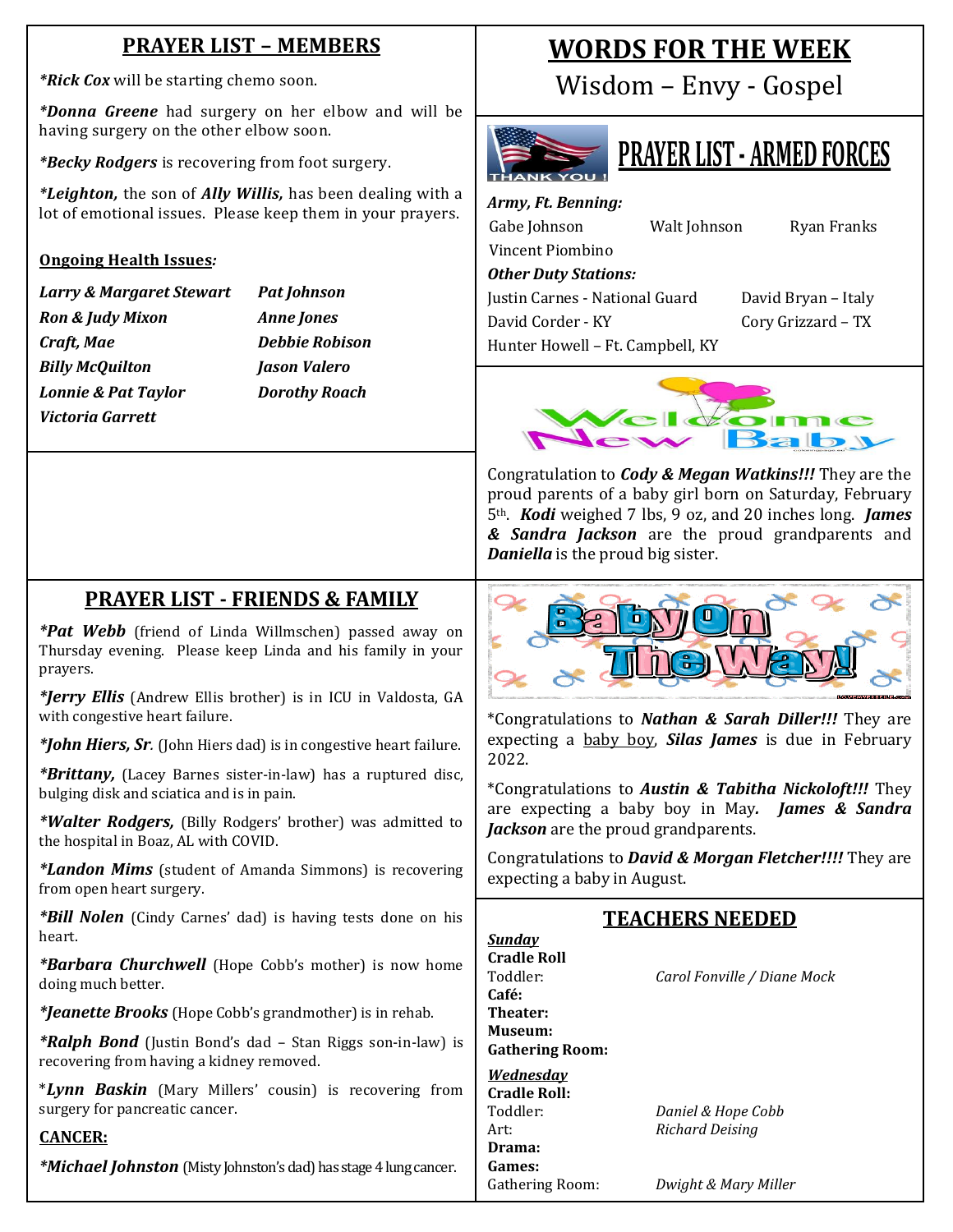## **PRAYER LIST – MEMBERS**

*\*Rick Cox* will be starting chemo soon.

*\*Donna Greene* had surgery on her elbow and will be having surgery on the other elbow soon.

*\*Becky Rodgers* is recovering from foot surgery.

*\*Leighton,* the son of *Ally Willis,* has been dealing with a lot of emotional issues. Please keep them in your prayers.

#### **Ongoing Health Issues***:*

- *Larry & Margaret Stewart Pat Johnson Ron & Judy Mixon Anne Jones Craft, Mae Debbie Robison Billy McQuilton Jason Valero Lonnie & Pat Taylor Dorothy Roach Victoria Garrett*
	-

## **WORDS FOR THE WEEK**

Wisdom – Envy - Gospel



## **PRAYER LIST - ARMED FORCES**

*Army, Ft. Benning:* Gabe Johnson Walt Johnson Ryan Franks

#### *Other Duty Stations:*

Vincent Piombino

Justin Carnes - National Guard David Bryan – Italy David Corder - KY Cory Grizzard – TX

Hunter Howell – Ft. Campbell, KY



Congratulation to *Cody & Megan Watkins!!!* They are the proud parents of a baby girl born on Saturday, February 5th. *Kodi* weighed 7 lbs, 9 oz, and 20 inches long. *James & Sandra Jackson* are the proud grandparents and *Daniella* is the proud big sister.

## **PRAYER LIST - FRIENDS & FAMILY**

*\*Pat Webb* (friend of Linda Willmschen) passed away on Thursday evening. Please keep Linda and his family in your prayers.

*\*Jerry Ellis* (Andrew Ellis brother) is in ICU in Valdosta, GA with congestive heart failure.

*\*John Hiers, Sr.* (John Hiers dad) is in congestive heart failure.

*\*Brittany,* (Lacey Barnes sister-in-law) has a ruptured disc, bulging disk and sciatica and is in pain.

*\*Walter Rodgers,* (Billy Rodgers' brother) was admitted to the hospital in Boaz, AL with COVID.

*\*Landon Mims* (student of Amanda Simmons) is recovering from open heart surgery.

*\*Bill Nolen* (Cindy Carnes' dad) is having tests done on his heart.

*\*Barbara Churchwell* (Hope Cobb's mother) is now home doing much better.

*\*Jeanette Brooks* (Hope Cobb's grandmother) is in rehab.

*\*Ralph Bond* (Justin Bond's dad – Stan Riggs son-in-law) is recovering from having a kidney removed.

\**Lynn Baskin* (Mary Millers' cousin) is recovering from surgery for pancreatic cancer.

#### **CANCER:**

*\*Michael Johnston* (Misty Johnston's dad) has stage 4 lung cancer.



\*Congratulations to *Nathan & Sarah Diller!!!* They are expecting a baby boy, *Silas James* is due in February 2022.

\*Congratulations to *Austin & Tabitha Nickoloft!!!* They are expecting a baby boy in May*. James & Sandra Jackson* are the proud grandparents.

Congratulations to *David & Morgan Fletcher!!!!* They are expecting a baby in August.

### **TEACHERS NEEDED**

| Cradle Roll            |                             |
|------------------------|-----------------------------|
| Toddler:               | Carol Fonville / Diane Mock |
| Café:                  |                             |
| Theater:               |                             |
| Museum:                |                             |
| <b>Gathering Room:</b> |                             |
| Wednesday              |                             |
| Cradle Roll:           |                             |
| Toddler:               | Daniel & Hope Cobb          |
| Art:                   | Richard Deising             |
| Drama:                 |                             |
| Games:                 |                             |
| Gathering Room:        | Dwight & Mary Miller        |

*Sunday*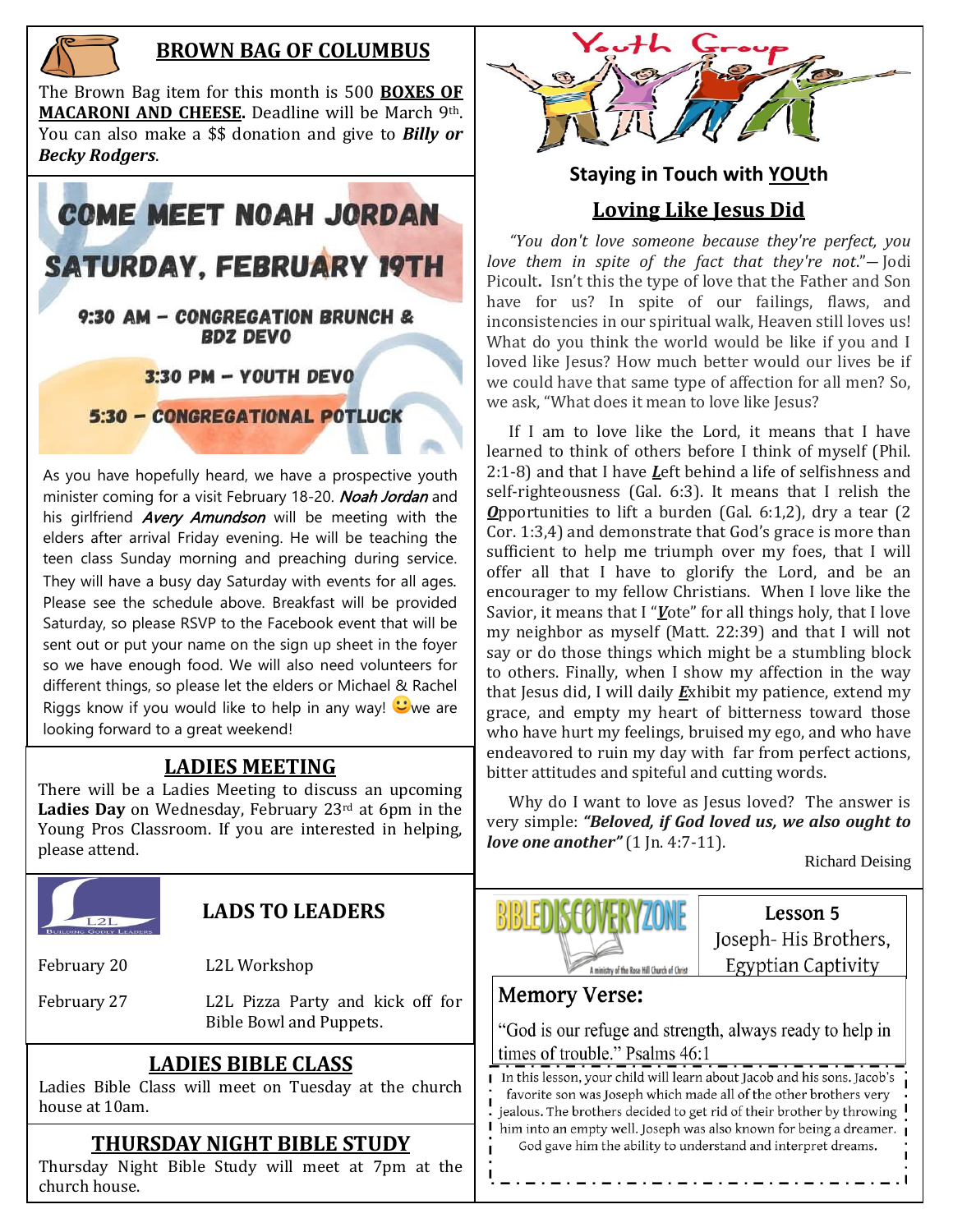

### **BROWN BAG OF COLUMBUS**

The Brown Bag item for this month is 500 **BOXES OF MACARONI AND CHEESE.** Deadline will be March 9th. You can also make a \$\$ donation and give to *Billy or Becky Rodgers*.



As you have hopefully heard, we have a prospective youth minister coming for a visit February 18-20. Noah Jordan and his girlfriend *Avery Amundson* will be meeting with the elders after arrival Friday evening. He will be teaching the teen class Sunday morning and preaching during service. They will have a busy day Saturday with events for all ages. Please see the schedule above. Breakfast will be provided Saturday, so please RSVP to the Facebook event that will be sent out or put your name on the sign up sheet in the foyer so we have enough food. We will also need volunteers for different things, so please let the elders or Michael & Rachel Riggs know if you would like to help in any way!  $\heartsuit$  we are looking forward to a great weekend!

#### **LADIES MEETING**

There will be a Ladies Meeting to discuss an upcoming Ladies Day on Wednesday, February 23<sup>rd</sup> at 6pm in the Young Pros Classroom. If you are interested in helping, please attend.



## **Staying in Touch with YOUth Loving Like Jesus Did**

 *"You don't love someone because they're perfect, you love them in spite of the fact that they're not*."― Jodi Picoult**.** Isn't this the type of love that the Father and Son have for us? In spite of our failings, flaws, and inconsistencies in our spiritual walk, Heaven still loves us! What do you think the world would be like if you and I loved like Jesus? How much better would our lives be if we could have that same type of affection for all men? So, we ask, "What does it mean to love like Jesus?

 If I am to love like the Lord, it means that I have learned to think of others before I think of myself (Phil. 2:1-8) and that I have *L*eft behind a life of selfishness and self-righteousness (Gal. 6:3). It means that I relish the *O*pportunities to lift a burden (Gal. 6:1,2), dry a tear (2 Cor. 1:3,4) and demonstrate that God's grace is more than sufficient to help me triumph over my foes, that I will offer all that I have to glorify the Lord, and be an encourager to my fellow Christians. When I love like the Savior, it means that I "*V*ote" for all things holy, that I love my neighbor as myself (Matt. 22:39) and that I will not say or do those things which might be a stumbling block to others. Finally, when I show my affection in the way that Jesus did, I will daily *E*xhibit my patience, extend my grace, and empty my heart of bitterness toward those who have hurt my feelings, bruised my ego, and who have endeavored to ruin my day with far from perfect actions, bitter attitudes and spiteful and cutting words.

 Why do I want to love as Jesus loved? The answer is very simple: *"Beloved, if God loved us, we also ought to love one another"* (1 Jn. 4:7-11).

Richard Deising